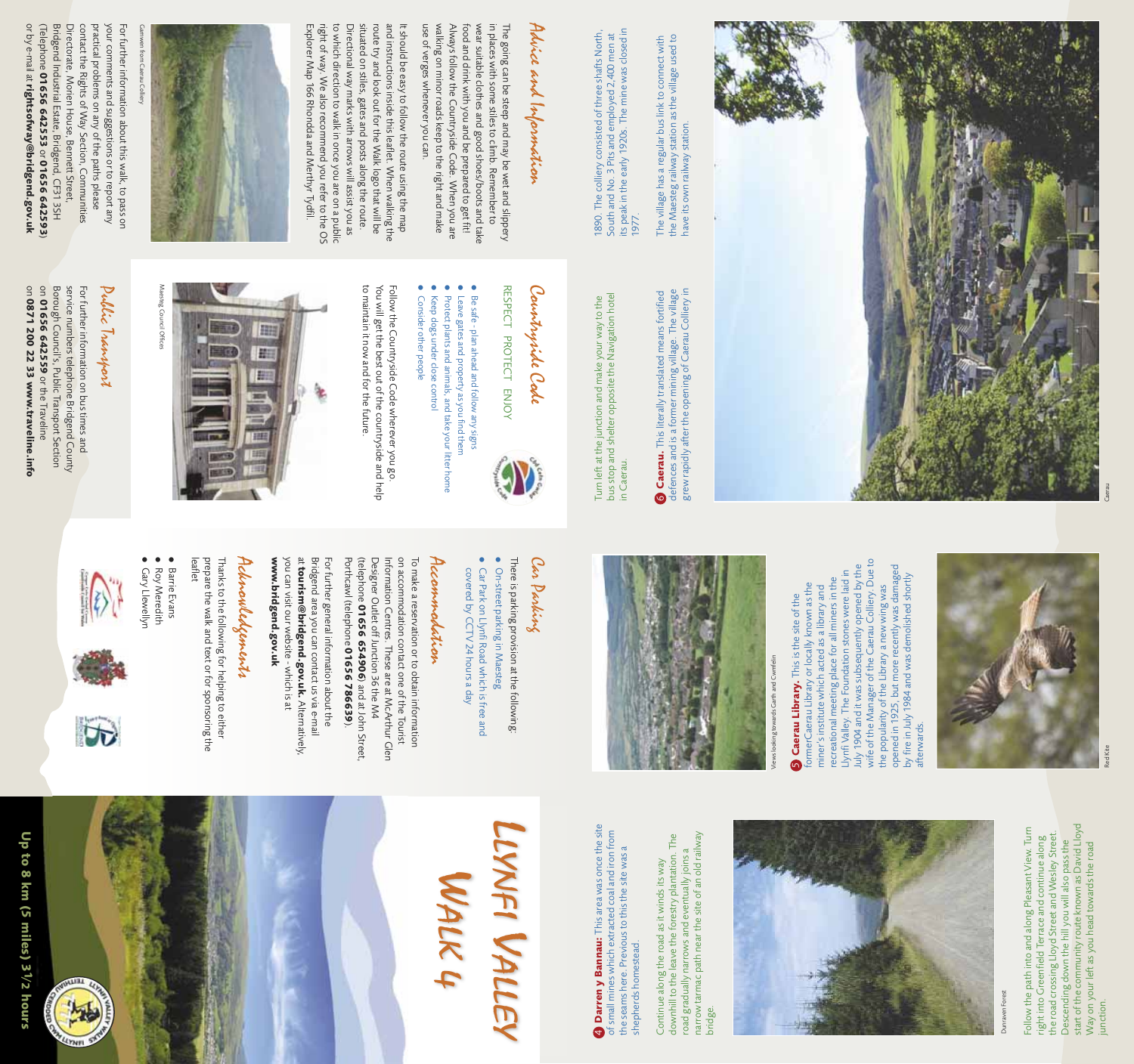It should be easy to follow the route using the map Explorer Map 166 Rhondda and Merthyr Tydfil right of way. We also recommend you refer to the OS to which direction to walk in once you are on a public to which direction to walk in once you are on a public Directional way marks with arrows will assist you as situated on stiles, gates and posts along the route. situated on stiles, gates and posts along the route. route try and look out for the Walk logo that will be and instructions inside this leaflet. When walking the and instructions inside this leaflet. When walking the Explorer Map 166 Rhondda and Merthyr Tydfil. right of way. We also recommend you refer to the OS Directional way marks with arrows will assist you as route try and look out for the Walk logo that will be It should be easy to follow the route using the map

use of verges whenever you can. Always follow the Countryside Code. When you are<br>walking on minor roads keep to the right and make in places with some stiles to climb. Remember to walking on minor roads keep to the right and make Always follow the Countryside Code. When you are food and drink with you and be prepared to get fit! food and drink with you and be prepared to get fit! wear suitable clothes and good shoes/boots and take wear suitable clothes and good shoes/boots and take in places with some stiles to climb. Remember to The going can be steep and may be wet and slippery The going can be steep and may be wet and slippery use of verges whenever you can.

## Advice and Information Advice and Information

#### Pullic Transport Public Transport

on 01656 642559 or the Traveline on 0871 200 22 33 www.traveline.info Borough Council's, Public Transport Section service numbers telephone Bridgend County Borough Council's, Public Transport Section service numbers telephone Bridgend County For further information on bus times and For further information on bus times and **0871 200 22 33 www.traveline.info 01656 642559** or the Traveline

RESPECT PROTECT ENJOY RESPECT PROTECT ENJOY



### Countryide Code Countryside Code

- 
- Be safe plan ahead and follow any signs Be safe - plan ahead and follow any signs

to maintain it now and for the future. You will get the best out of the countryside and help Follow the Countryside Code wherever you go to maintain it now and for the future. You will get the best out of the countryside and help Follow the Countryside Code wherever you go.



There is parking provision at the following: There is parking provision at the following:

#### Accommodation Accommodation

Porthcawl (telephone 01656 786639) (telephone 01656 654906) and at John Street, Designer Outlet off Junction 36 the M4 Information Centres. These are at McArthur Glen on accommodation contact one of the Tourist To make a reservation or to obtain information To make a reservation or to obtain information Porthcawl (telephone Designer Outlet off Junction 36 the M4 Information Centres. These are at McArthur Glen on accommodation contact one of the Tourist **01656 65490601656 786639**) and at John Street,

www.bridgend.gov.uk you can visit our website at tourism@bridgend.gov.uk. Alternatively, Bridgend area you can contact us via e-mail For further general information about the **www.bridgend.gov.uk** you can visit our website - which is at Bridgend area you can contact us via e-mail For further general information about the **tourism@bridgend.gov.uk.** which is at Alternatively,

#### Acknowledgements Achnowledgements

Maesteg Council Offices Maesteg Council Offices

### LLYNFI VALLEY WFI VALLEY WALK 4

4 Darren y Bannau: This area was once the site<br>of small mines which extracted coal and iron from<br>the seams here. Previous to this the site was a 4 **Darren y Bannau:** This area was once the site of small mines which extracted coal and iron from the seams here. Previous to this the site was a shepherds homestead. shepherds homestead.

●

Continue along the road as it winds its way downhill to the leave the forestry plantation. The road gradually narrows and eventually joins a narrow tarmac path near the site of an old railway Continue along the road as it winds its way<br>downhill to the leave the forestry plantation. The<br>road gradually narrows and eventually joins a<br>narrow tarmac path near the site of an old railway<br>bridge.



- Leave gates and property as you find them<br>Protect plants and animals, and take your litter home Leave gates and property as you find them
- Protect plants and animals, and take your litter home
- ● Consider other people Keep dogs under close control Consider other people Keep dogs under close control
- 

Follow the path into and along Pleasant View. Turn right into Greenfield Terrace and continue along the road crossing Lloyd Street and Wesley Street. Descending down the hill you will also pass the start of the community route known as David Lloyd Way on your left as you head towards the road Follow the path into and along Pleasant View. Turn<br>right into Greenfield Terrace and continue along<br>the road crossing Lloyd Street and Wesley Street.<br>Descending down the hill you will also pass the<br>start of the community r

# Car Parking

- ● On-street parking in Maesteg Car Park on Llynfi Road which is free and On-street parking in Maesteg
- Car Park on Llynfi Road which is free and<br>covered by CCTV 24 hours a day covered by CCTV 24 hours a day

July 1904 and it was subsequently opened by the<br>wife of the Manager of the Caerau Colliery. Due to<br>the popularity of the Library a new wing was<br>opened in 1925, but more recently was damaged<br>by fire in July 1984 and was dem wife of the Manager of the Caerau Colliery. Due to July 1904 and it was subsequently opened by the July 1904 and it was subsequently opened by the opened in 1925, but more recently was damaged by fire in July 1984 and was demolished shortly the popularity of the Library a new wing was afterwards.

1890. The colliery consisted of three shafts North, South and No. 3 Pits and employed 2,400 men at its peak in the early 1920s. The mine was closed in 1890. The colliery consisted of three shafts North,<br>South and No. 3 Pits and employed 2,400 men at<br>its peak in the early 1920s. The mine was closed in<br>1977.







The village has a regular bus link to connect with<br>the Maesteg railway station as the village used to<br>have its own railway station. the Maesteg railway station as the village used to The village has a regular bus link to connect with have its own railway station.

> $\circ$ **Caerau.** This literally translated means fortified defences and is a former mining village. The village grew rapidly after the opening of Caerau Colliery in

Turn left at the junction and make your way to the<br>bus stop and shelter opposite the Navigation hotel bus stop and shelter opposite the Navigation hotel Turn left at the junction and make your way to the in Caerau. in Caerau.

leaflet prepare the walk and text or for sponsoring the Thanks to the following for helping to either Thanks to the following for helping to either prepare the walk and text or for sponsoring the

- ● Barrie Evans ● **Gary Llewellyn** Roy Meredith Gary Llewellyn Roy Meredith Barrie Evans
- 





**ALLEL** 

**UYNFL** 





Directorate, Morien House, Bennett Street, contact the Rights of Way Section, Communities or by e-mail at **rightsofway@bridgend.gov.uk** or by e-mail at (Telephone Bridgend Industrial Estate, Bridgend, CF31 3SH contact the Rights of Way Section, Communities practical problems on any of the paths please your comments and suggestions or to report any your comments and suggestions or to report any For further information about this walk, to pass on Bridgend Industrial Estate, Bridgend, CF31 3SH Directorate, Morien House, Bennett Street, practical problems on any of the paths please For further information about this walk, to pass on **01656 642553 rightsofway@bridgend.gov.uk** or **01656 642593** $\check{ }$ 

Dunraven Forest



recreational meeting place for all miners in the<br>Llynfi Valley. The Foundation stones were laid in Llynfi Valley. The Foundation stones were laid in recreational meeting place for all miners in the formerCaerau Library or locally known as the formerCaerau Library or locally known as the miner's institute which acted as a library and miner's institute which acted as a library and **S** Caerau Library. This is the site of the



Caerau Library. This is the site of the





do  $\ddot{\bullet}$ 8 km

Caerau

**Kite**